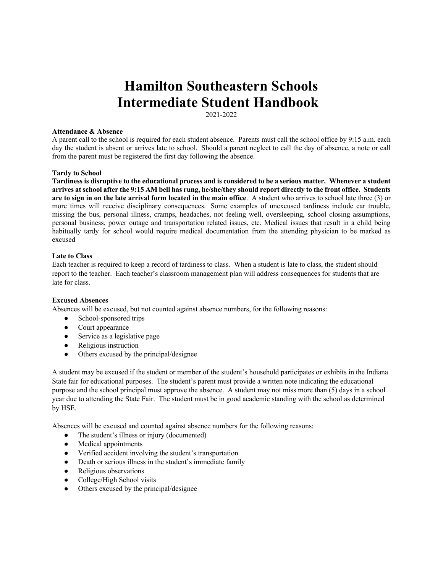# **Hamilton Southeastern Schools Intermediate Student Handbook**

2021-2022

## **Attendance & Absence**

A parent call to the school is required for each student absence. Parents must call the school office by 9:15 a.m. each day the student is absent or arrives late to school. Should a parent neglect to call the day of absence, a note or call from the parent must be registered the first day following the absence.

# **Tardy to School**

**Tardiness is disruptive to the educational process and is considered to be a serious matter. Whenever a student arrives at school after the 9:15 AM bell has rung, he/she/they should report directly to the front office. Students are to sign in on the late arrival form located in the main office**. A student who arrives to school late three (3) or more times will receive disciplinary consequences. Some examples of unexcused tardiness include car trouble, missing the bus, personal illness, cramps, headaches, not feeling well, oversleeping, school closing assumptions, personal business, power outage and transportation related issues, etc. Medical issues that result in a child being habitually tardy for school would require medical documentation from the attending physician to be marked as excused

# **Late to Class**

Each teacher is required to keep a record of tardiness to class. When a student is late to class, the student should report to the teacher. Each teacher's classroom management plan will address consequences for students that are late for class.

# **Excused Absences**

Absences will be excused, but not counted against absence numbers, for the following reasons:

- School-sponsored trips
- Court appearance
- Service as a legislative page
- Religious instruction
- Others excused by the principal/designee

A student may be excused if the student or member of the student's household participates or exhibits in the Indiana State fair for educational purposes. The student's parent must provide a written note indicating the educational purpose and the school principal must approve the absence. A student may not miss more than (5) days in a school year due to attending the State Fair. The student must be in good academic standing with the school as determined by HSE.

Absences will be excused and counted against absence numbers for the following reasons:

- The student's illness or injury (documented)
- Medical appointments
- Verified accident involving the student's transportation
- Death or serious illness in the student's immediate family
- Religious observations
- College/High School visits
- Others excused by the principal/designee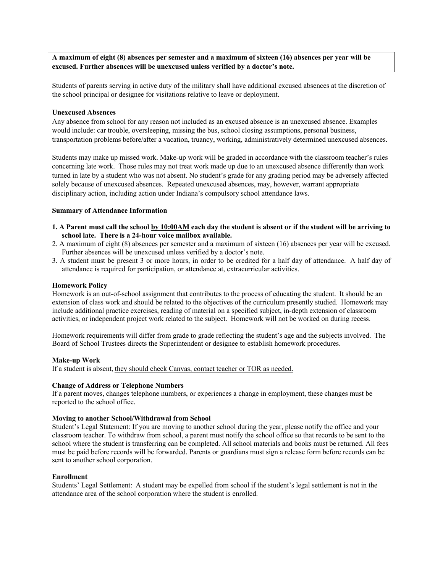**A maximum of eight (8) absences per semester and a maximum of sixteen (16) absences per year will be excused. Further absences will be unexcused unless verified by a doctor's note.**

Students of parents serving in active duty of the military shall have additional excused absences at the discretion of the school principal or designee for visitations relative to leave or deployment.

#### **Unexcused Absences**

Any absence from school for any reason not included as an excused absence is an unexcused absence. Examples would include: car trouble, oversleeping, missing the bus, school closing assumptions, personal business, transportation problems before/after a vacation, truancy, working, administratively determined unexcused absences.

Students may make up missed work. Make-up work will be graded in accordance with the classroom teacher's rules concerning late work. Those rules may not treat work made up due to an unexcused absence differently than work turned in late by a student who was not absent. No student's grade for any grading period may be adversely affected solely because of unexcused absences. Repeated unexcused absences, may, however, warrant appropriate disciplinary action, including action under Indiana's compulsory school attendance laws.

# **Summary of Attendance Information**

- **1. A Parent must call the school by 10:00AM each day the student is absent or if the student will be arriving to school late. There is a 24-hour voice mailbox available.**
- 2. A maximum of eight (8) absences per semester and a maximum of sixteen (16) absences per year will be excused. Further absences will be unexcused unless verified by a doctor's note.
- 3. A student must be present 3 or more hours, in order to be credited for a half day of attendance. A half day of attendance is required for participation, or attendance at, extracurricular activities.

#### **Homework Policy**

Homework is an out-of-school assignment that contributes to the process of educating the student.  It should be an extension of class work and should be related to the objectives of the curriculum presently studied.  Homework may include additional practice exercises, reading of material on a specified subject, in-depth extension of classroom activities, or independent project work related to the subject. Homework will not be worked on during recess.

Homework requirements will differ from grade to grade reflecting the student's age and the subjects involved.  The Board of School Trustees directs the Superintendent or designee to establish homework procedures. 

#### **Make-up Work**

If a student is absent, they should check Canvas, contact teacher or TOR as needed.

#### **Change of Address or Telephone Numbers**

If a parent moves, changes telephone numbers, or experiences a change in employment, these changes must be reported to the school office. 

## **Moving to another School/Withdrawal from School**

Student's Legal Statement: If you are moving to another school during the year, please notify the office and your classroom teacher. To withdraw from school, a parent must notify the school office so that records to be sent to the school where the student is transferring can be completed. All school materials and books must be returned. All fees must be paid before records will be forwarded. Parents or guardians must sign a release form before records can be sent to another school corporation. 

## **Enrollment**

Students' Legal Settlement:  A student may be expelled from school if the student's legal settlement is not in the attendance area of the school corporation where the student is enrolled.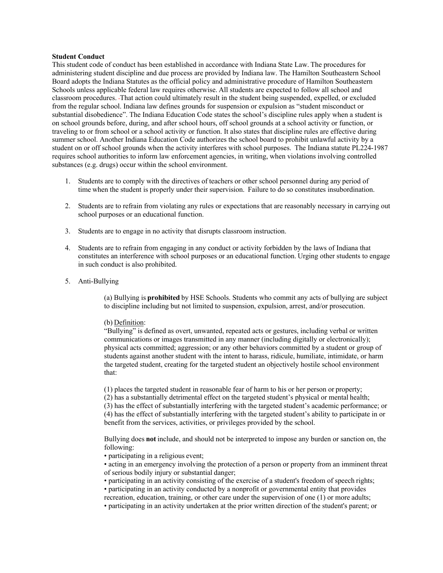## **Student Conduct**

This student code of conduct has been established in accordance with Indiana State Law. The procedures for administering student discipline and due process are provided by Indiana law. The Hamilton Southeastern School Board adopts the Indiana Statutes as the official policy and administrative procedure of Hamilton Southeastern Schools unless applicable federal law requires otherwise. All students are expected to follow all school and classroom procedures.  That action could ultimately result in the student being suspended, expelled, or excluded from the regular school. Indiana law defines grounds for suspension or expulsion as "student misconduct or substantial disobedience". The Indiana Education Code states the school's discipline rules apply when a student is on school grounds before, during, and after school hours, off school grounds at a school activity or function, or traveling to or from school or a school activity or function. It also states that discipline rules are effective during summer school. Another Indiana Education Code authorizes the school board to prohibit unlawful activity by a student on or off school grounds when the activity interferes with school purposes.  The Indiana statute PL224-1987 requires school authorities to inform law enforcement agencies, in writing, when violations involving controlled substances (e.g. drugs) occur within the school environment. 

- 1. Students are to comply with the directives of teachers or other school personnel during any period of time when the student is properly under their supervision.  Failure to do so constitutes insubordination.
- 2. Students are to refrain from violating any rules or expectations that are reasonably necessary in carrying out school purposes or an educational function.
- 3. Students are to engage in no activity that disrupts classroom instruction.
- 4. Students are to refrain from engaging in any conduct or activity forbidden by the laws of Indiana that constitutes an interference with school purposes or an educational function. Urging other students to engage in such conduct is also prohibited.
- 5. Anti-Bullying

(a) Bullying is **prohibited**by HSE Schools. Students who commit any acts of bullying are subject to discipline including but not limited to suspension, expulsion, arrest, and/or prosecution. 

#### (b) Definition:

"Bullying" is defined as overt, unwanted, repeated acts or gestures, including verbal or written communications or images transmitted in any manner (including digitally or electronically); physical acts committed; aggression; or any other behaviors committed by a student or group of students against another student with the intent to harass, ridicule, humiliate, intimidate, or harm the targeted student, creating for the targeted student an objectively hostile school environment that: 

(1) places the targeted student in reasonable fear of harm to his or her person or property; 

(2) has a substantially detrimental effect on the targeted student's physical or mental health; 

(3) has the effect of substantially interfering with the targeted student's academic performance; or  (4) has the effect of substantially interfering with the targeted student's ability to participate in or benefit from the services, activities, or privileges provided by the school.

Bullying does **not**include, and should not be interpreted to impose any burden or sanction on, the following: 

- participating in a religious event;
- acting in an emergency involving the protection of a person or property from an imminent threat of serious bodily injury or substantial danger;
- participating in an activity consisting of the exercise of a student's freedom of speech rights;
- participating in an activity conducted by a nonprofit or governmental entity that provides recreation, education, training, or other care under the supervision of one (1) or more adults;
- participating in an activity undertaken at the prior written direction of the student's parent; or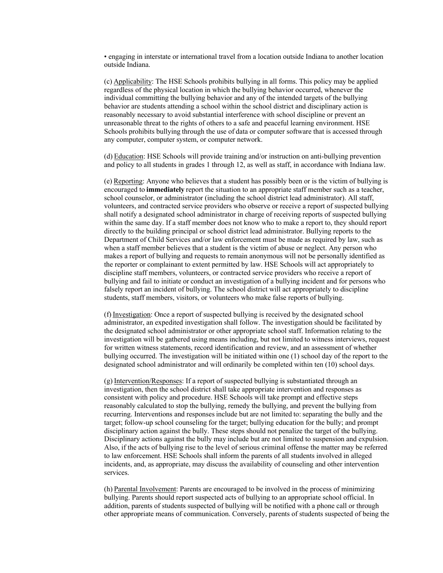• engaging in interstate or international travel from a location outside Indiana to another location outside Indiana. 

(c) Applicability: The HSE Schools prohibits bullying in all forms. This policy may be applied regardless of the physical location in which the bullying behavior occurred, whenever the individual committing the bullying behavior and any of the intended targets of the bullying behavior are students attending a school within the school district and disciplinary action is reasonably necessary to avoid substantial interference with school discipline or prevent an unreasonable threat to the rights of others to a safe and peaceful learning environment. HSE Schools prohibits bullying through the use of data or computer software that is accessed through any computer, computer system, or computer network.

(d) Education: HSE Schools will provide training and/or instruction on anti-bullying prevention and policy to all students in grades 1 through 12, as well as staff, in accordance with Indiana law. 

(e) Reporting: Anyone who believes that a student has possibly been or is the victim of bullying is encouraged to **immediately**report the situation to an appropriate staff member such as a teacher, school counselor, or administrator (including the school district lead administrator). All staff, volunteers, and contracted service providers who observe or receive a report of suspected bullying shall notify a designated school administrator in charge of receiving reports of suspected bullying within the same day. If a staff member does not know who to make a report to, they should report directly to the building principal or school district lead administrator. Bullying reports to the Department of Child Services and/or law enforcement must be made as required by law, such as when a staff member believes that a student is the victim of abuse or neglect. Any person who makes a report of bullying and requests to remain anonymous will not be personally identified as the reporter or complainant to extent permitted by law. HSE Schools will act appropriately to discipline staff members, volunteers, or contracted service providers who receive a report of bullying and fail to initiate or conduct an investigation of a bullying incident and for persons who falsely report an incident of bullying. The school district will act appropriately to discipline students, staff members, visitors, or volunteers who make false reports of bullying.  

(f) Investigation: Once a report of suspected bullying is received by the designated school administrator, an expedited investigation shall follow. The investigation should be facilitated by the designated school administrator or other appropriate school staff. Information relating to the investigation will be gathered using means including, but not limited to witness interviews, request for written witness statements, record identification and review, and an assessment of whether bullying occurred. The investigation will be initiated within one (1) school day of the report to the designated school administrator and will ordinarily be completed within ten (10) school days. 

(g) Intervention/Responses: If a report of suspected bullying is substantiated through an investigation, then the school district shall take appropriate intervention and responses as consistent with policy and procedure. HSE Schools will take prompt and effective steps reasonably calculated to stop the bullying, remedy the bullying, and prevent the bullying from recurring. Interventions and responses include but are not limited to: separating the bully and the target; follow-up school counseling for the target; bullying education for the bully; and prompt disciplinary action against the bully. These steps should not penalize the target of the bullying. Disciplinary actions against the bully may include but are not limited to suspension and expulsion. Also, if the acts of bullying rise to the level of serious criminal offense the matter may be referred to law enforcement. HSE Schools shall inform the parents of all students involved in alleged incidents, and, as appropriate, may discuss the availability of counseling and other intervention services. 

(h) Parental Involvement: Parents are encouraged to be involved in the process of minimizing bullying. Parents should report suspected acts of bullying to an appropriate school official. In addition, parents of students suspected of bullying will be notified with a phone call or through other appropriate means of communication. Conversely, parents of students suspected of being the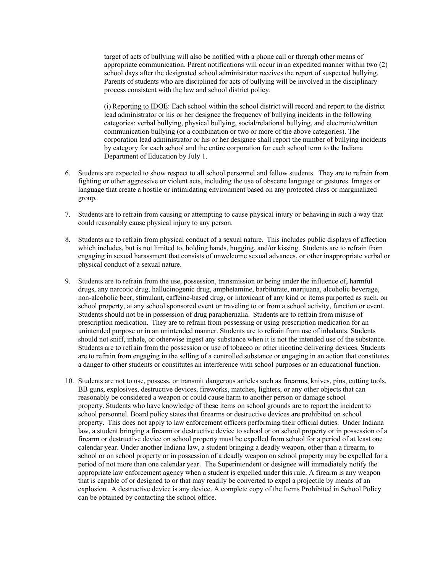target of acts of bullying will also be notified with a phone call or through other means of appropriate communication. Parent notifications will occur in an expedited manner within two (2) school days after the designated school administrator receives the report of suspected bullying. Parents of students who are disciplined for acts of bullying will be involved in the disciplinary process consistent with the law and school district policy. 

(i) Reporting to IDOE: Each school within the school district will record and report to the district lead administrator or his or her designee the frequency of bullying incidents in the following categories: verbal bullying, physical bullying, social/relational bullying, and electronic/written communication bullying (or a combination or two or more of the above categories). The corporation lead administrator or his or her designee shall report the number of bullying incidents by category for each school and the entire corporation for each school term to the Indiana Department of Education by July 1. 

- 6. Students are expected to show respect to all school personnel and fellow students. They are to refrain from fighting or other aggressive or violent acts, including the use of obscene language or gestures. Images or language that create a hostile or intimidating environment based on any protected class or marginalized group.
- 7. Students are to refrain from causing or attempting to cause physical injury or behaving in such a way that could reasonably cause physical injury to any person.
- 8. Students are to refrain from physical conduct of a sexual nature.  This includes public displays of affection which includes, but is not limited to, holding hands, hugging, and/or kissing. Students are to refrain from engaging in sexual harassment that consists of unwelcome sexual advances, or other inappropriate verbal or physical conduct of a sexual nature.
- 9. Students are to refrain from the use, possession, transmission or being under the influence of, harmful drugs, any narcotic drug, hallucinogenic drug, amphetamine, barbiturate, marijuana, alcoholic beverage, non-alcoholic beer, stimulant, caffeine-based drug, or intoxicant of any kind or items purported as such, on school property, at any school sponsored event or traveling to or from a school activity, function or event. Students should not be in possession of drug paraphernalia.  Students are to refrain from misuse of prescription medication.  They are to refrain from possessing or using prescription medication for an unintended purpose or in an unintended manner. Students are to refrain from use of inhalants. Students should not sniff, inhale, or otherwise ingest any substance when it is not the intended use of the substance. Students are to refrain from the possession or use of tobacco or other nicotine delivering devices. Students are to refrain from engaging in the selling of a controlled substance or engaging in an action that constitutes a danger to other students or constitutes an interference with school purposes or an educational function.
- 10. Students are not to use, possess, or transmit dangerous articles such as firearms, knives, pins, cutting tools, BB guns, explosives, destructive devices, fireworks, matches, lighters, or any other objects that can reasonably be considered a weapon or could cause harm to another person or damage school property. Students who have knowledge of these items on school grounds are to report the incident to school personnel. Board policy states that firearms or destructive devices are prohibited on school property.  This does not apply to law enforcement officers performing their official duties.  Under Indiana law, a student bringing a firearm or destructive device to school or on school property or in possession of a firearm or destructive device on school property must be expelled from school for a period of at least one calendar year. Under another Indiana law, a student bringing a deadly weapon, other than a firearm, to school or on school property or in possession of a deadly weapon on school property may be expelled for a period of not more than one calendar year. The Superintendent or designee will immediately notify the appropriate law enforcement agency when a student is expelled under this rule. A firearm is any weapon that is capable of or designed to or that may readily be converted to expel a projectile by means of an explosion.  A destructive device is any device. A complete copy of the Items Prohibited in School Policy can be obtained by contacting the school office.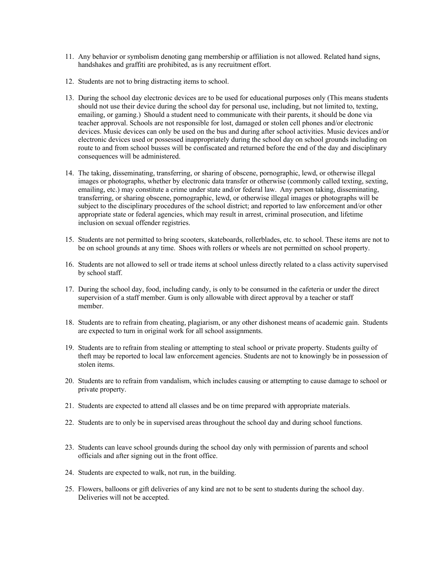- 11. Any behavior or symbolism denoting gang membership or affiliation is not allowed. Related hand signs, handshakes and graffiti are prohibited, as is any recruitment effort.
- 12. Students are not to bring distracting items to school.
- 13. During the school day electronic devices are to be used for educational purposes only (This means students should not use their device during the school day for personal use, including, but not limited to, texting, emailing, or gaming.)  Should a student need to communicate with their parents, it should be done via teacher approval. Schools are not responsible for lost, damaged or stolen cell phones and/or electronic devices. Music devices can only be used on the bus and during after school activities. Music devices and/or electronic devices used or possessed inappropriately during the school day on school grounds including on route to and from school busses will be confiscated and returned before the end of the day and disciplinary consequences will be administered.
- 14. The taking, disseminating, transferring, or sharing of obscene, pornographic, lewd, or otherwise illegal images or photographs, whether by electronic data transfer or otherwise (commonly called texting, sexting, emailing, etc.) may constitute a crime under state and/or federal law. Any person taking, disseminating, transferring, or sharing obscene, pornographic, lewd, or otherwise illegal images or photographs will be subject to the disciplinary procedures of the school district; and reported to law enforcement and/or other appropriate state or federal agencies, which may result in arrest, criminal prosecution, and lifetime inclusion on sexual offender registries.
- 15. Students are not permitted to bring scooters, skateboards, rollerblades, etc. to school. These items are not to be on school grounds at any time.  Shoes with rollers or wheels are not permitted on school property.
- 16. Students are not allowed to sell or trade items at school unless directly related to a class activity supervised by school staff.
- 17. During the school day, food, including candy, is only to be consumed in the cafeteria or under the direct supervision of a staff member. Gum is only allowable with direct approval by a teacher or staff member.
- 18. Students are to refrain from cheating, plagiarism, or any other dishonest means of academic gain.  Students are expected to turn in original work for all school assignments.
- 19. Students are to refrain from stealing or attempting to steal school or private property. Students guilty of theft may be reported to local law enforcement agencies. Students are not to knowingly be in possession of stolen items.
- 20. Students are to refrain from vandalism, which includes causing or attempting to cause damage to school or private property.
- 21. Students are expected to attend all classes and be on time prepared with appropriate materials.
- 22. Students are to only be in supervised areas throughout the school day and during school functions.
- 23. Students can leave school grounds during the school day only with permission of parents and school officials and after signing out in the front office.
- 24. Students are expected to walk, not run, in the building.
- 25. Flowers, balloons or gift deliveries of any kind are not to be sent to students during the school day. Deliveries will not be accepted.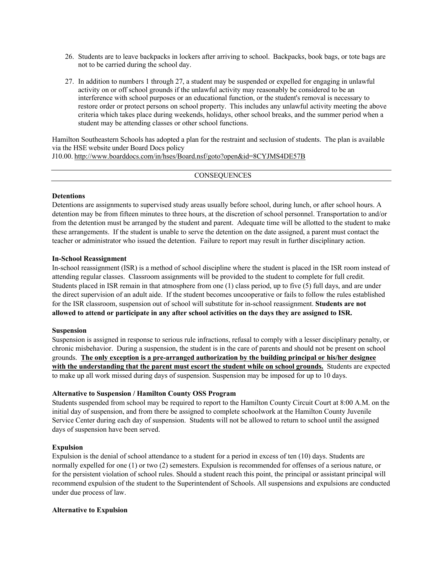- 26. Students are to leave backpacks in lockers after arriving to school.  Backpacks, book bags, or tote bags are not to be carried during the school day.
- 27. In addition to numbers 1 through 27, a student may be suspended or expelled for engaging in unlawful activity on or off school grounds if the unlawful activity may reasonably be considered to be an interference with school purposes or an educational function, or the student's removal is necessary to restore order or protect persons on school property.  This includes any unlawful activity meeting the above criteria which takes place during weekends, holidays, other school breaks, and the summer period when a student may be attending classes or other school functions.

Hamilton Southeastern Schools has adopted a plan for the restraint and seclusion of students.  The plan is available via the HSE website under Board Docs policy J10.00. http://www.boarddocs.com/in/hses/Board.nsf/goto?open&id=8CYJMS4DE57B

**CONSEQUENCES** 

## **Detentions**

Detentions are assignments to supervised study areas usually before school, during lunch, or after school hours. A detention may be from fifteen minutes to three hours, at the discretion of school personnel. Transportation to and/or from the detention must be arranged by the student and parent. Adequate time will be allotted to the student to make these arrangements. If the student is unable to serve the detention on the date assigned, a parent must contact the teacher or administrator who issued the detention. Failure to report may result in further disciplinary action.

# **In-School Reassignment**

In-school reassignment (ISR) is a method of school discipline where the student is placed in the ISR room instead of attending regular classes. Classroom assignments will be provided to the student to complete for full credit. Students placed in ISR remain in that atmosphere from one (1) class period, up to five (5) full days, and are under the direct supervision of an adult aide. If the student becomes uncooperative or fails to follow the rules established for the ISR classroom, suspension out of school will substitute for in-school reassignment. **Students are not allowed to attend or participate in any after school activities on the days they are assigned to ISR.**

## **Suspension**

Suspension is assigned in response to serious rule infractions, refusal to comply with a lesser disciplinary penalty, or chronic misbehavior. During a suspension, the student is in the care of parents and should not be present on school grounds. **The only exception is a pre-arranged authorization by the building principal or his/her designee with the understanding that the parent must escort the student while on school grounds.** Students are expected to make up all work missed during days of suspension. Suspension may be imposed for up to 10 days.

# **Alternative to Suspension / Hamilton County OSS Program**

Students suspended from school may be required to report to the Hamilton County Circuit Court at 8:00 A.M. on the initial day of suspension, and from there be assigned to complete schoolwork at the Hamilton County Juvenile Service Center during each day of suspension. Students will not be allowed to return to school until the assigned days of suspension have been served.

## **Expulsion**

Expulsion is the denial of school attendance to a student for a period in excess of ten (10) days. Students are normally expelled for one (1) or two (2) semesters. Expulsion is recommended for offenses of a serious nature, or for the persistent violation of school rules. Should a student reach this point, the principal or assistant principal will recommend expulsion of the student to the Superintendent of Schools. All suspensions and expulsions are conducted under due process of law.

## **Alternative to Expulsion**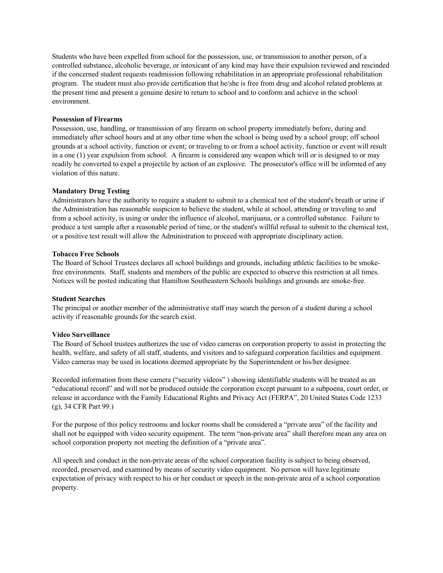Students who have been expelled from school for the possession, use, or transmission to another person, of a controlled substance, alcoholic beverage, or intoxicant of any kind may have their expulsion reviewed and rescinded if the concerned student requests readmission following rehabilitation in an appropriate professional rehabilitation program. The student must also provide certification that he/she is free from drug and alcohol related problems at the present time and present a genuine desire to return to school and to conform and achieve in the school environment.

# **Possession of Firearms**

Possession, use, handling, or transmission of any firearm on school property immediately before, during and immediately after school hours and at any other time when the school is being used by a school group; off school grounds at a school activity, function or event; or traveling to or from a school activity, function or event will result in a one (1) year expulsion from school. A firearm is considered any weapon which will or is designed to or may readily be converted to expel a projectile by action of an explosive. The prosecutor's office will be informed of any violation of this nature.

# **Mandatory Drug Testing**

Administrators have the authority to require a student to submit to a chemical test of the student's breath or urine if the Administration has reasonable suspicion to believe the student, while at school, attending or traveling to and from a school activity, is using or under the influence of alcohol, marijuana, or a controlled substance. Failure to produce a test sample after a reasonable period of time, or the student's willful refusal to submit to the chemical test, or a positive test result will allow the Administration to proceed with appropriate disciplinary action.

## **Tobacco Free Schools**

The Board of School Trustees declares all school buildings and grounds, including athletic facilities to be smokefree environments. Staff, students and members of the public are expected to observe this restriction at all times. Notices will be posted indicating that Hamilton Southeastern Schools buildings and grounds are smoke-free.

## **Student Searches**

The principal or another member of the administrative staff may search the person of a student during a school activity if reasonable grounds for the search exist.

## **Video Surveillance**

The Board of School trustees authorizes the use of video cameras on corporation property to assist in protecting the health, welfare, and safety of all staff, students, and visitors and to safeguard corporation facilities and equipment. Video cameras may be used in locations deemed appropriate by the Superintendent or his/her designee.

Recorded information from these camera ("security videos" ) showing identifiable students will be treated as an "educational record" and will not be produced outside the corporation except pursuant to a subpoena, court order, or release in accordance with the Family Educational Rights and Privacy Act (FERPA", 20 United States Code 1233 (g), 34 CFR Part 99.)

For the purpose of this policy restrooms and locker rooms shall be considered a "private area" of the facility and shall not be equipped with video security equipment. The term "non-private area" shall therefore mean any area on school corporation property not meeting the definition of a "private area".

All speech and conduct in the non-private areas of the school corporation facility is subject to being observed, recorded, preserved, and examined by means of security video equipment. No person will have legitimate expectation of privacy with respect to his or her conduct or speech in the non-private area of a school corporation property.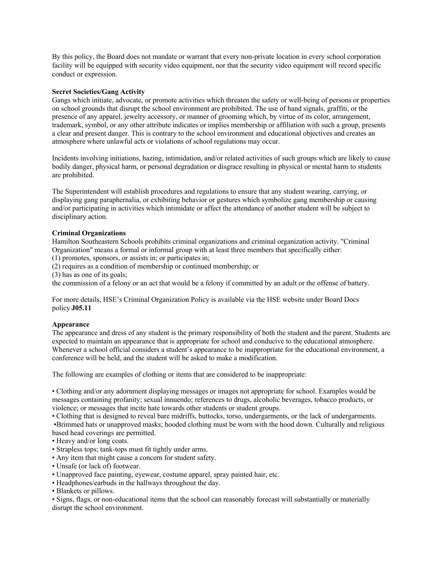By this policy, the Board does not mandate or warrant that every non-private location in every school corporation facility will be equipped with security video equipment, nor that the security video equipment will record specific conduct or expression.

# **Secret Societies/Gang Activity**

Gangs which initiate, advocate, or promote activities which threaten the safety or well-being of persons or properties on school grounds that disrupt the school environment are prohibited. The use of hand signals, graffiti, or the presence of any apparel, jewelry accessory, or manner of grooming which, by virtue of its color, arrangement, trademark, symbol, or any other attribute indicates or implies membership or affiliation with such a group, presents a clear and present danger. This is contrary to the school environment and educational objectives and creates an atmosphere where unlawful acts or violations of school regulations may occur. 

Incidents involving initiations, hazing, intimidation, and/or related activities of such groups which are likely to cause bodily danger, physical harm, or personal degradation or disgrace resulting in physical or mental harm to students are prohibited. 

The Superintendent will establish procedures and regulations to ensure that any student wearing, carrying, or displaying gang paraphernalia, or exhibiting behavior or gestures which symbolize gang membership or causing and/or participating in activities which intimidate or affect the attendance of another student will be subject to disciplinary action. 

# **Criminal Organizations**

Hamilton Southeastern Schools prohibits criminal organizations and criminal organization activity. "Criminal Organization" means a formal or informal group with at least three members that specifically either: 

(1) promotes, sponsors, or assists in; or participates in; 

(2) requires as a condition of membership or continued membership; or 

(3) has as one of its goals; 

the commission of a felony or an act that would be a felony if committed by an adult or the offense of battery.  

For more details, HSE's Criminal Organization Policy is available via the HSE website under Board Docs policy **J05.11**

## **Appearance**

The appearance and dress of any student is the primary responsibility of both the student and the parent. Students are expected to maintain an appearance that is appropriate for school and conducive to the educational atmosphere. Whenever a school official considers a student's appearance to be inappropriate for the educational environment, a conference will be held, and the student will be asked to make a modification.

The following are examples of clothing or items that are considered to be inappropriate:

• Clothing and/or any adornment displaying messages or images not appropriate for school. Examples would be messages containing profanity; sexual innuendo; references to drugs, alcoholic beverages, tobacco products, or violence; or messages that incite hate towards other students or student groups.

• Clothing that is designed to reveal bare midriffs, buttocks, torso, undergarments, or the lack of undergarments. •Brimmed hats or unapproved masks; hooded clothing must be worn with the hood down. Culturally and religious

based head coverings are permitted.

- Heavy and/or long coats.
- Strapless tops; tank-tops must fit tightly under arms.
- Any item that might cause a concern for student safety.
- Unsafe (or lack of) footwear.
- Unapproved face painting, eyewear, costume apparel, spray painted hair, etc.
- Headphones/earbuds in the hallways throughout the day.
- Blankets or pillows.

• Signs, flags, or non-educational items that the school can reasonably forecast will substantially or materially disrupt the school environment.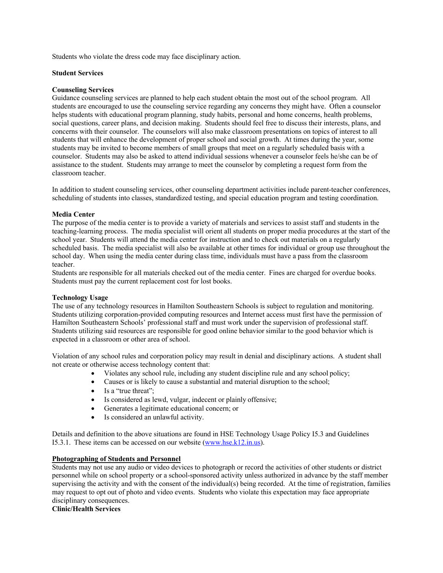Students who violate the dress code may face disciplinary action.

# **Student Services**

# **Counseling Services**

Guidance counseling services are planned to help each student obtain the most out of the school program.  All students are encouraged to use the counseling service regarding any concerns they might have.  Often a counselor helps students with educational program planning, study habits, personal and home concerns, health problems, social questions, career plans, and decision making. Students should feel free to discuss their interests, plans, and concerns with their counselor.  The counselors will also make classroom presentations on topics of interest to all students that will enhance the development of proper school and social growth.  At times during the year, some students may be invited to become members of small groups that meet on a regularly scheduled basis with a counselor.  Students may also be asked to attend individual sessions whenever a counselor feels he/she can be of assistance to the student.  Students may arrange to meet the counselor by completing a request form from the classroom teacher. 

In addition to student counseling services, other counseling department activities include parent-teacher conferences, scheduling of students into classes, standardized testing, and special education program and testing coordination. 

# **Media Center**

The purpose of the media center is to provide a variety of materials and services to assist staff and students in the teaching-learning process.  The media specialist will orient all students on proper media procedures at the start of the school year.  Students will attend the media center for instruction and to check out materials on a regularly scheduled basis.  The media specialist will also be available at other times for individual or group use throughout the school day.  When using the media center during class time, individuals must have a pass from the classroom teacher. 

Students are responsible for all materials checked out of the media center.  Fines are charged for overdue books.  Students must pay the current replacement cost for lost books. 

## **Technology Usage**

The use of any technology resources in Hamilton Southeastern Schools is subject to regulation and monitoring.  Students utilizing corporation-provided computing resources and Internet access must first have the permission of Hamilton Southeastern Schools' professional staff and must work under the supervision of professional staff.  Students utilizing said resources are responsible for good online behavior similar to the good behavior which is expected in a classroom or other area of school. 

Violation of any school rules and corporation policy may result in denial and disciplinary actions.  A student shall not create or otherwise access technology content that: 

- Violates any school rule, including any student discipline rule and any school policy;
- Causes or is likely to cause a substantial and material disruption to the school;
- Is a "true threat";
- Is considered as lewd, vulgar, indecent or plainly offensive;
- Generates a legitimate educational concern; or
- Is considered an unlawful activity.

Details and definition to the above situations are found in HSE Technology Usage Policy I5.3 and Guidelines I5.3.1.  These items can be accessed on our website (www.hse.k12.in.us). 

# **Photographing of Students and Personnel**

Students may not use any audio or video devices to photograph or record the activities of other students or district personnel while on school property or a school-sponsored activity unless authorized in advance by the staff member supervising the activity and with the consent of the individual(s) being recorded. At the time of registration, families may request to opt out of photo and video events.  Students who violate this expectation may face appropriate disciplinary consequences. 

**Clinic/Health Services**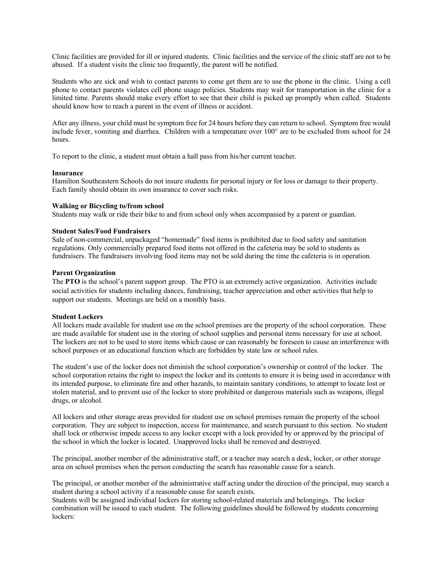Clinic facilities are provided for ill or injured students. Clinic facilities and the service of the clinic staff are not to be abused. If a student visits the clinic too frequently, the parent will be notified.

Students who are sick and wish to contact parents to come get them are to use the phone in the clinic. Using a cell phone to contact parents violates cell phone usage policies. Students may wait for transportation in the clinic for a limited time. Parents should make every effort to see that their child is picked up promptly when called. Students should know how to reach a parent in the event of illness or accident.

After any illness, your child must be symptom free for 24 hours before they can return to school. Symptom free would include fever, vomiting and diarrhea. Children with a temperature over 100° are to be excluded from school for 24 hours.

To report to the clinic, a student must obtain a hall pass from his/her current teacher.

## **Insurance**

Hamilton Southeastern Schools do not insure students for personal injury or for loss or damage to their property. Each family should obtain its own insurance to cover such risks.

# **Walking or Bicycling to/from school**

Students may walk or ride their bike to and from school only when accompanied by a parent or guardian.

# **Student Sales/Food Fundraisers**

Sale of non-commercial, unpackaged "homemade" food items is prohibited due to food safety and sanitation regulations. Only commercially prepared food items not offered in the cafeteria may be sold to students as fundraisers. The fundraisers involving food items may not be sold during the time the cafeteria is in operation. 

# **Parent Organization**

The **PTO** is the school's parent support group. The PTO is an extremely active organization. Activities include social activities for students including dances, fundraising, teacher appreciation and other activities that help to support our students. Meetings are held on a monthly basis.

## **Student Lockers**

All lockers made available for student use on the school premises are the property of the school corporation.  These are made available for student use in the storing of school supplies and personal items necessary for use at school.  The lockers are not to be used to store items which cause or can reasonably be foreseen to cause an interference with school purposes or an educational function which are forbidden by state law or school rules. 

The student's use of the locker does not diminish the school corporation's ownership or control of the locker.  The school corporation retains the right to inspect the locker and its contents to ensure it is being used in accordance with its intended purpose, to eliminate fire and other hazards, to maintain sanitary conditions, to attempt to locate lost or stolen material, and to prevent use of the locker to store prohibited or dangerous materials such as weapons, illegal drugs, or alcohol. 

All lockers and other storage areas provided for student use on school premises remain the property of the school corporation.  They are subject to inspection, access for maintenance, and search pursuant to this section.  No student shall lock or otherwise impede access to any locker except with a lock provided by or approved by the principal of the school in which the locker is located.  Unapproved locks shall be removed and destroyed. 

The principal, another member of the administrative staff, or a teacher may search a desk, locker, or other storage area on school premises when the person conducting the search has reasonable cause for a search. 

The principal, or another member of the administrative staff acting under the direction of the principal, may search a student during a school activity if a reasonable cause for search exists. 

Students will be assigned individual lockers for storing school-related materials and belongings.  The locker combination will be issued to each student.  The following guidelines should be followed by students concerning lockers: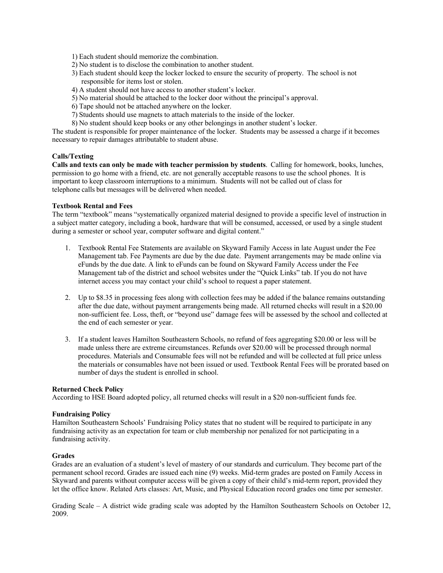- 1) Each student should memorize the combination.
- 2) No student is to disclose the combination to another student.
- 3) Each student should keep the locker locked to ensure the security of property.  The school is not responsible for items lost or stolen.
- 4) A student should not have access to another student's locker.
- 5) No material should be attached to the locker door without the principal's approval.
- 6) Tape should not be attached anywhere on the locker.
- 7) Students should use magnets to attach materials to the inside of the locker.
- 8) No student should keep books or any other belongings in another student's locker.

The student is responsible for proper maintenance of the locker.  Students may be assessed a charge if it becomes necessary to repair damages attributable to student abuse. 

## **Calls/Texting**

**Calls and texts can only be made with teacher permission by students**.  Calling for homework, books, lunches, permission to go home with a friend, etc. are not generally acceptable reasons to use the school phones.  It is important to keep classroom interruptions to a minimum.  Students will not be called out of class for telephone calls but messages will be delivered when needed.   

#### **Textbook Rental and Fees**

The term "textbook" means "systematically organized material designed to provide a specific level of instruction in a subject matter category, including a book, hardware that will be consumed, accessed, or used by a single student during a semester or school year, computer software and digital content." 

- 1. Textbook Rental Fee Statements are available on Skyward Family Access in late August under the Fee Management tab. Fee Payments are due by the due date.  Payment arrangements may be made online via eFunds by the due date. A link to eFunds can be found on Skyward Family Access under the Fee Management tab of the district and school websites under the "Quick Links" tab. If you do not have internet access you may contact your child's school to request a paper statement.
- 2. Up to \$8.35 in processing fees along with collection fees may be added if the balance remains outstanding after the due date, without payment arrangements being made. All returned checks will result in a \$20.00 non-sufficient fee. Loss, theft, or "beyond use" damage fees will be assessed by the school and collected at the end of each semester or year.
- 3. If a student leaves Hamilton Southeastern Schools, no refund of fees aggregating \$20.00 or less will be made unless there are extreme circumstances. Refunds over \$20.00 will be processed through normal procedures. Materials and Consumable fees will not be refunded and will be collected at full price unless the materials or consumables have not been issued or used. Textbook Rental Fees will be prorated based on number of days the student is enrolled in school.

#### **Returned Check Policy**

According to HSE Board adopted policy, all returned checks will result in a \$20 non-sufficient funds fee. 

#### **Fundraising Policy**

Hamilton Southeastern Schools' Fundraising Policy states that no student will be required to participate in any fundraising activity as an expectation for team or club membership nor penalized for not participating in a fundraising activity. 

#### **Grades**

Grades are an evaluation of a student's level of mastery of our standards and curriculum. They become part of the permanent school record. Grades are issued each nine (9) weeks. Mid-term grades are posted on Family Access in Skyward and parents without computer access will be given a copy of their child's mid-term report, provided they let the office know. Related Arts classes: Art, Music, and Physical Education record grades one time per semester. 

Grading Scale – A district wide grading scale was adopted by the Hamilton Southeastern Schools on October 12, 2009.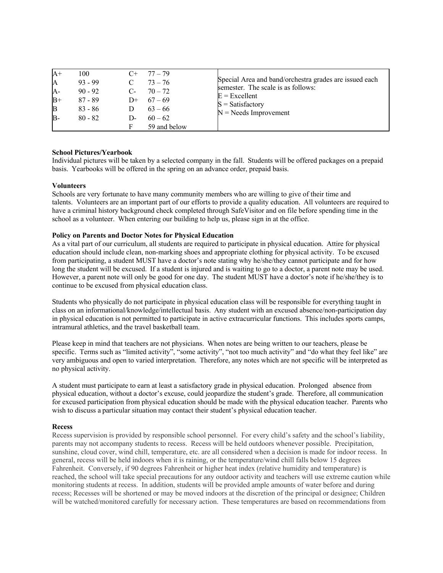| $A+$<br>A<br>$A-$<br>$B+$<br>$\mathbf{B}$<br>$B -$ | 100<br>$93 - 99$<br>$90 - 92$<br>$87 - 89$<br>$83 - 86$<br>$80 - 82$ | $C+$<br>$C_{\tau}$<br>$D-$ | 77 – 79<br>$73 - 76$<br>$70 - 72$<br>D+ $67-69$<br>$63 - 66$<br>$60 - 62$<br>59 and below | Special Area and band/orchestra grades are issued each<br>semester. The scale is as follows:<br>$E =$ Excellent<br>$S = Satisfactory$<br>$N =$ Needs Improvement |
|----------------------------------------------------|----------------------------------------------------------------------|----------------------------|-------------------------------------------------------------------------------------------|------------------------------------------------------------------------------------------------------------------------------------------------------------------|
|----------------------------------------------------|----------------------------------------------------------------------|----------------------------|-------------------------------------------------------------------------------------------|------------------------------------------------------------------------------------------------------------------------------------------------------------------|

## **School Pictures/Yearbook**

Individual pictures will be taken by a selected company in the fall.  Students will be offered packages on a prepaid basis.  Yearbooks will be offered in the spring on an advance order, prepaid basis. 

#### **Volunteers**

Schools are very fortunate to have many community members who are willing to give of their time and talents. Volunteers are an important part of our efforts to provide a quality education.  All volunteers are required to have a criminal history background check completed through SafeVisitor and on file before spending time in the school as a volunteer.  When entering our building to help us, please sign in at the office. 

#### **Policy on Parents and Doctor Notes for Physical Education**

As a vital part of our curriculum, all students are required to participate in physical education.  Attire for physical education should include clean, non-marking shoes and appropriate clothing for physical activity.  To be excused from participating, a student MUST have a doctor's note stating why he/she/they cannot participate and for how long the student will be excused. If a student is injured and is waiting to go to a doctor, a parent note may be used. However, a parent note will only be good for one day.  The student MUST have a doctor's note if he/she/they is to continue to be excused from physical education class. 

Students who physically do not participate in physical education class will be responsible for everything taught in class on an informational/knowledge/intellectual basis.  Any student with an excused absence/non-participation day in physical education is not permitted to participate in active extracurricular functions.  This includes sports camps, intramural athletics, and the travel basketball team. 

Please keep in mind that teachers are not physicians.  When notes are being written to our teachers, please be specific. Terms such as "limited activity", "some activity", "not too much activity" and "do what they feel like" are very ambiguous and open to varied interpretation.  Therefore, any notes which are not specific will be interpreted as no physical activity.   

A student must participate to earn at least a satisfactory grade in physical education.  Prolonged   absence from physical education, without a doctor's excuse, could jeopardize the student's grade.  Therefore, all communication for excused participation from physical education should be made with the physical education teacher.  Parents who wish to discuss a particular situation may contact their student's physical education teacher. 

#### **Recess**

Recess supervision is provided by responsible school personnel. For every child's safety and the school's liability, parents may not accompany students to recess. Recess will be held outdoors whenever possible. Precipitation, sunshine, cloud cover, wind chill, temperature, etc. are all considered when a decision is made for indoor recess. In general, recess will be held indoors when it is raining, or the temperature/wind chill falls below 15 degrees Fahrenheit. Conversely, if 90 degrees Fahrenheit or higher heat index (relative humidity and temperature) is reached, the school will take special precautions for any outdoor activity and teachers will use extreme caution while monitoring students at recess. In addition, students will be provided ample amounts of water before and during recess; Recesses will be shortened or may be moved indoors at the discretion of the principal or designee; Children will be watched/monitored carefully for necessary action. These temperatures are based on recommendations from